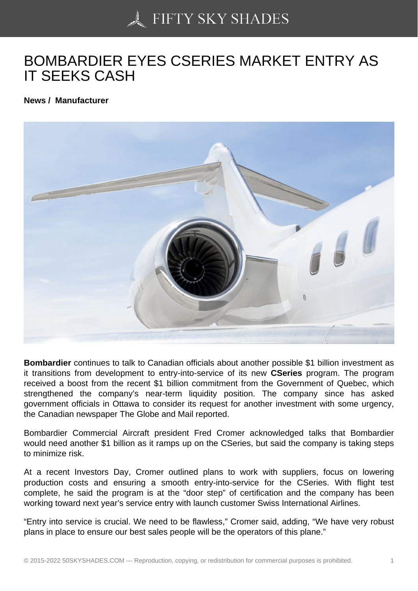## [BOMBARDIER EYES C](https://50skyshades.com)SERIES MARKET ENTRY AS IT SEEKS CASH

News / Manufacturer

Bombardier continues to talk to Canadian officials about another possible \$1 billion investment as it transitions from development to entry-into-service of its new CSeries program. The program received a boost from the recent \$1 billion commitment from the Government of Quebec, which strengthened the company's near-term liquidity position. The company since has asked government officials in Ottawa to consider its request for another investment with some urgency, the Canadian newspaper The Globe and Mail reported.

Bombardier Commercial Aircraft president Fred Cromer acknowledged talks that Bombardier would need another \$1 billion as it ramps up on the CSeries, but said the company is taking steps to minimize risk.

At a recent Investors Day, Cromer outlined plans to work with suppliers, focus on lowering production costs and ensuring a smooth entry-into-service for the CSeries. With flight test complete, he said the program is at the "door step" of certification and the company has been working toward next year's service entry with launch customer Swiss International Airlines.

"Entry into service is crucial. We need to be flawless," Cromer said, adding, "We have very robust plans in place to ensure our best sales people will be the operators of this plane."